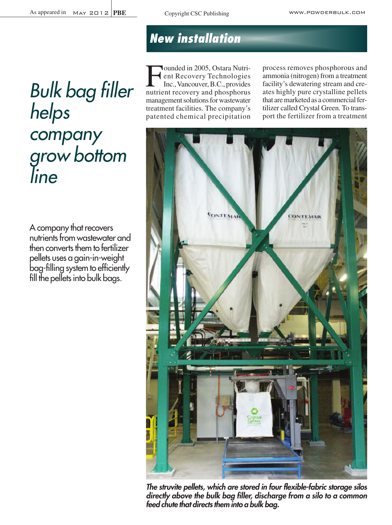*Bulk bag filler helps company grow bottom line*

A company that recovers nutrients from wastewater and then converts them to fertilizer pellets uses a gain-in-weight bag-filling system to efficiently fill the pellets into bulk bags.

# *New installation*

Founded in 2005, Ostara Nutri-<br>ent Recovery Technologies<br>Inc., Vancouver, B.C., provides ent Recovery Technologies Inc.,Vancouver,B.C., provides nutrient recovery and phosphorus management solutions for wastewater treatment facilities. The company's patented chemical precipitation process removes phosphorous and ammonia (nitrogen) from a treatment facility's dewatering stream and creates highly pure crystalline pellets that are marketed as a commercial fertilizer called Crystal Green. To transport the fertilizer from a treatment



*The struvite pellets, which are stored in four flexible-fabric storage silos directly above the bulk bag filler, discharge from a silo to a common feed chute that directs them into a bulk bag.*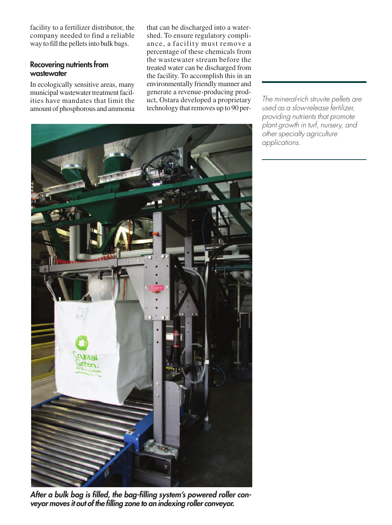facility to a fertilizer distributor, the company needed to find a reliable way to fill the pellets into bulk bags.

#### **Recovering nutrients from wastewater**

In ecologically sensitive areas, many municipal wastewater treatment facilities have mandates that limit the amount of phosphorous and ammonia that can be discharged into a watershed. To ensure regulatory compliance, a facility must remove a percentage of these chemicals from the wastewater stream before the treated water can be discharged from the facility. To accomplish this in an environmentally friendly manner and generate a revenue-producing product, Ostara developed a proprietary technology that removes up to 90 per-

*The mineral-rich struvite pellets are used as a slow-release fertilizer, providing nutrients that promote plant growth in turf, nursery, and other specialty agriculture applications.*



*After a bulk bag is filled, the bag-filling system's powered roller conveyor moves it out of the filling zone to an indexing roller conveyor.*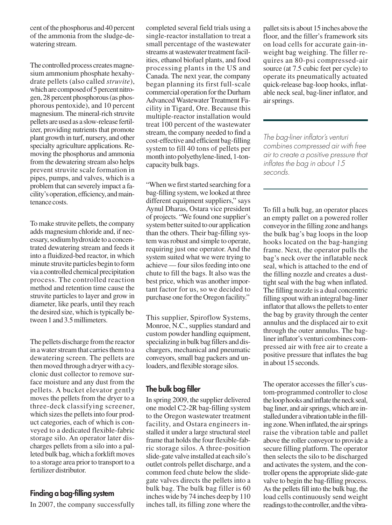cent of the phosphorus and 40 percent of the ammonia from the sludge-dewatering stream.

The controlled process creates magnesium ammonium phosphate hexahydrate pellets (also called *struvite*), which are composed of 5 percent nitrogen, 28 percent phosphorous(as phosphorous pentoxide), and 10 percent magnesium. The mineral-rich struvite pellets areusedas a slow-release fertilizer, providing nutrients that promote plant growth in turf, nursery, and other specialty agriculture applications. Removing the phosphorus and ammonia from the dewatering stream also helps prevent struvite scale formation in pipes, pumps, and valves, which is a problem that can severely impact a facility's operation, efficiency, and maintenance costs.

To make struvite pellets, the company adds magnesium chloride and, if necessary,sodiumhydroxide to a concentrated dewatering stream and feeds it into a fluidized-bed reactor, in which minute struvite particles begin to form via a controlled chemical precipitation process. The controlled reaction method and retention time cause the struvite particles to layer and grow in diameter, like pearls, until they reach the desired size, which is typically between 1 and 3.5 millimeters.

The pellets discharge from the reactor in a water stream that carries them to a dewatering screen. The pellets are then moved through a dryer with a cyclonic dust collector to remove surface moisture and any dust from the pellets. A bucket elevator gently moves the pellets from the dryer to a three-deck classifying screener, which sizes the pellets into four product categories, each of which is conveyed to a dedicated flexible-fabric storage silo. An operator later discharges pellets from a silo into a palleted bulk bag, which a forklift moves to a storage area prior to transport to a fertilizer distributor.

### **Finding a bag-filling system**

In 2007, the company successfully

completed several field trials using a single-reactor installation to treat a small percentage of the wastewater streams at wastewater treatment facilities, ethanol biofuel plants, and food processing plants in the US and Canada. The next year, the company began planning its first full-scale commercial operation for the Durham Advanced Wastewater Treatment Facility in Tigard, Ore. Because this multiple-reactor installation would treat 100 percent of the wastewater stream, the company needed to find a cost-effective and efficient bag-filling system to fill 40 tons of pellets per month into polyethylene-lined, 1-toncapacity bulk bags.

"When we first started searching for a bag-filling system, we looked at three different equipment suppliers," says Aynul Dharas, Ostara vice president of projects. "We found one supplier's system better suited to our application than the others. Their bag-filling system was robust and simple to operate, requiring just one operator. And the system suited what we were trying to achieve — four silos feeding into one chute to fill the bags. It also was the best price, which was another important factor for us, so we decided to purchase one for the Oregon facility."

This supplier, Spiroflow Systems, Monroe, N.C., supplies standard and custom powder handling equipment, specializing in bulk bag fillers and dischargers, mechanical and pneumatic conveyors, small bag packers and unloaders, and flexible storage silos.

## **The bulk bag filler**

In spring 2009, the supplier delivered one model C2-2R bag-filling system to the Oregon wastewater treatment facility, and Ostara engineers installed it under a large structural steel frame that holds the four flexible-fabric storage silos. A three-position slide-gate valve installed at each silo's outlet controls pellet discharge, and a common feed chute below the slidegate valves directs the pellets into a bulk bag. The bulk bag filler is 60 inches wide by 74 inches deep by 110 inches tall, its filling zone where the palletsitsis about 15 inches above the floor, and the filler's framework sits on load cells for accurate gain-inweight bag weighing. The filler requires an 80-psi compressed-air source (at 7.5 cubic feet per cycle) to operate its pneumatically actuated quick-release bag-loop hooks, inflatable neck seal, bag-liner inflator, and airsprings.

*The bag-liner inflator's venturi combines compressed air with free air to create a positive pressure that inflates the bag in about 15 seconds.*

To fill a bulk bag, an operator places an empty pallet on a powered roller conveyorin the filling zone and hangs the bulk bag's bag loops in the loop hooks located on the bag-hanging frame. Next, the operator pulls the bag's neck over the inflatable neck seal, which is attached to the end of the filling nozzle and creates a dusttight seal with the bag when inflated. The filling nozzle is a dual concentric filling spoutwith an integral bag-liner inflator that allows the pellets to enter the bag by gravity through the center annulus and the displaced air to exit through the outer annulus. The baglinerinflator's venturi combines compressed air with free air to create a positive pressure that inflates the bag in about 15 seconds.

The operator accesses the filler's custom-programmed controller to close the loop hooks and inflate the neck seal, bag liner, and airsprings, which are installed under a vibration table in the filling zone. When inflated, the air springs raise the vibration table and pallet above the roller conveyor to provide a secure filling platform. The operator then selects the silo to be discharged and activates the system, and the controller opens the appropriate slide-gate valve to begin the bag-filling process. As the pellets fill into the bulk bag, the load cells continuously send weight readings to the controller, and the vibra